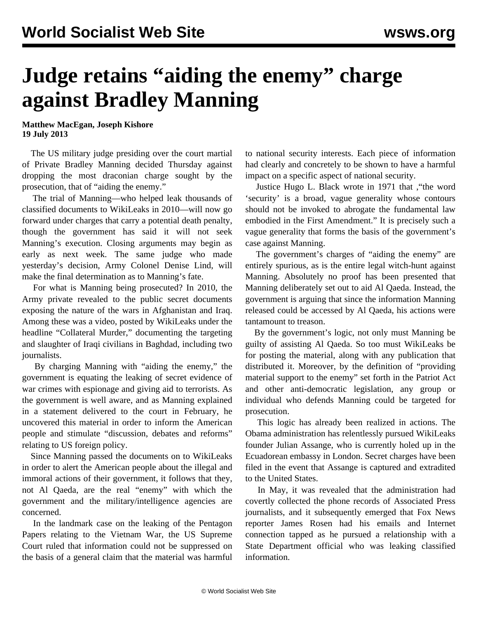## **Judge retains "aiding the enemy" charge against Bradley Manning**

**Matthew MacEgan, Joseph Kishore 19 July 2013**

 The US military judge presiding over the court martial of Private Bradley Manning decided Thursday against dropping the most draconian charge sought by the prosecution, that of "aiding the enemy."

 The trial of Manning—who helped leak thousands of classified documents to WikiLeaks in 2010—will now go forward under charges that carry a potential death penalty, though the government has said it will not seek Manning's execution. Closing arguments may begin as early as next week. The same judge who made yesterday's decision, Army Colonel Denise Lind, will make the final determination as to Manning's fate.

 For what is Manning being prosecuted? In 2010, the Army private revealed to the public secret documents exposing the nature of the wars in Afghanistan and Iraq. Among these was a video, posted by WikiLeaks under the headline "Collateral Murder," documenting the targeting and slaughter of Iraqi civilians in Baghdad, including two journalists.

 By charging Manning with "aiding the enemy," the government is equating the leaking of secret evidence of war crimes with espionage and giving aid to terrorists. As the government is well aware, and as Manning explained in a statement delivered to the court in February, he uncovered this material in order to inform the American people and stimulate "discussion, debates and reforms" relating to US foreign policy.

 Since Manning passed the documents on to WikiLeaks in order to alert the American people about the illegal and immoral actions of their government, it follows that they, not Al Qaeda, are the real "enemy" with which the government and the military/intelligence agencies are concerned.

 In the landmark case on the leaking of the Pentagon Papers relating to the Vietnam War, the US Supreme Court ruled that information could not be suppressed on the basis of a general claim that the material was harmful

to national security interests. Each piece of information had clearly and concretely to be shown to have a harmful impact on a specific aspect of national security.

 Justice Hugo L. Black wrote in 1971 that ,"the word 'security' is a broad, vague generality whose contours should not be invoked to abrogate the fundamental law embodied in the First Amendment." It is precisely such a vague generality that forms the basis of the government's case against Manning.

 The government's charges of "aiding the enemy" are entirely spurious, as is the entire legal witch-hunt against Manning. Absolutely no proof has been presented that Manning deliberately set out to aid Al Qaeda. Instead, the government is arguing that since the information Manning released could be accessed by Al Qaeda, his actions were tantamount to treason.

 By the government's logic, not only must Manning be guilty of assisting Al Qaeda. So too must WikiLeaks be for posting the material, along with any publication that distributed it. Moreover, by the definition of "providing material support to the enemy" set forth in the Patriot Act and other anti-democratic legislation, any group or individual who defends Manning could be targeted for prosecution.

 This logic has already been realized in actions. The Obama administration has relentlessly pursued WikiLeaks founder Julian Assange, who is currently holed up in the Ecuadorean embassy in London. Secret charges have been filed in the event that Assange is captured and extradited to the United States.

 In May, it was revealed that the administration had covertly collected the phone records of Associated Press journalists, and it subsequently emerged that Fox News reporter James Rosen had his emails and Internet connection tapped as he pursued a relationship with a State Department official who was leaking classified information.